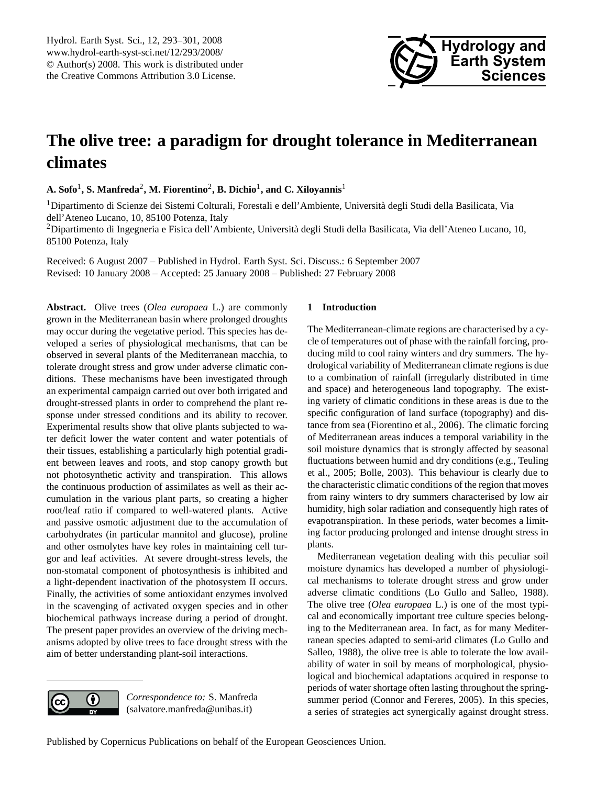

# <span id="page-0-0"></span>**The olive tree: a paradigm for drought tolerance in Mediterranean climates**

**A. Sofo**<sup>1</sup> **, S. Manfreda**<sup>2</sup> **, M. Fiorentino**<sup>2</sup> **, B. Dichio**<sup>1</sup> **, and C. Xiloyannis**<sup>1</sup>

<sup>1</sup>Dipartimento di Scienze dei Sistemi Colturali, Forestali e dell'Ambiente, Universita degli Studi della Basilicata, Via ` dell'Ateneo Lucano, 10, 85100 Potenza, Italy

 $2$ Dipartimento di Ingegneria e Fisica dell'Ambiente, Università degli Studi della Basilicata, Via dell'Ateneo Lucano, 10, 85100 Potenza, Italy

Received: 6 August 2007 – Published in Hydrol. Earth Syst. Sci. Discuss.: 6 September 2007 Revised: 10 January 2008 – Accepted: 25 January 2008 – Published: 27 February 2008

**Abstract.** Olive trees (*Olea europaea* L.) are commonly grown in the Mediterranean basin where prolonged droughts may occur during the vegetative period. This species has developed a series of physiological mechanisms, that can be observed in several plants of the Mediterranean macchia, to tolerate drought stress and grow under adverse climatic conditions. These mechanisms have been investigated through an experimental campaign carried out over both irrigated and drought-stressed plants in order to comprehend the plant response under stressed conditions and its ability to recover. Experimental results show that olive plants subjected to water deficit lower the water content and water potentials of their tissues, establishing a particularly high potential gradient between leaves and roots, and stop canopy growth but not photosynthetic activity and transpiration. This allows the continuous production of assimilates as well as their accumulation in the various plant parts, so creating a higher root/leaf ratio if compared to well-watered plants. Active and passive osmotic adjustment due to the accumulation of carbohydrates (in particular mannitol and glucose), proline and other osmolytes have key roles in maintaining cell turgor and leaf activities. At severe drought-stress levels, the non-stomatal component of photosynthesis is inhibited and a light-dependent inactivation of the photosystem II occurs. Finally, the activities of some antioxidant enzymes involved in the scavenging of activated oxygen species and in other biochemical pathways increase during a period of drought. The present paper provides an overview of the driving mechanisms adopted by olive trees to face drought stress with the aim of better understanding plant-soil interactions.

## **1 Introduction**

The Mediterranean-climate regions are characterised by a cycle of temperatures out of phase with the rainfall forcing, producing mild to cool rainy winters and dry summers. The hydrological variability of Mediterranean climate regions is due to a combination of rainfall (irregularly distributed in time and space) and heterogeneous land topography. The existing variety of climatic conditions in these areas is due to the specific configuration of land surface (topography) and distance from sea (Fiorentino et al., 2006). The climatic forcing of Mediterranean areas induces a temporal variability in the soil moisture dynamics that is strongly affected by seasonal fluctuations between humid and dry conditions (e.g., Teuling et al., 2005; Bolle, 2003). This behaviour is clearly due to the characteristic climatic conditions of the region that moves from rainy winters to dry summers characterised by low air humidity, high solar radiation and consequently high rates of evapotranspiration. In these periods, water becomes a limiting factor producing prolonged and intense drought stress in plants.

Mediterranean vegetation dealing with this peculiar soil moisture dynamics has developed a number of physiological mechanisms to tolerate drought stress and grow under adverse climatic conditions (Lo Gullo and Salleo, 1988). The olive tree (*Olea europaea* L.) is one of the most typical and economically important tree culture species belonging to the Mediterranean area. In fact, as for many Mediterranean species adapted to semi-arid climates (Lo Gullo and Salleo, 1988), the olive tree is able to tolerate the low availability of water in soil by means of morphological, physiological and biochemical adaptations acquired in response to periods of water shortage often lasting throughout the springsummer period (Connor and Fereres, 2005). In this species, a series of strategies act synergically against drought stress.



*Correspondence to:* S. Manfreda (salvatore.manfreda@unibas.it)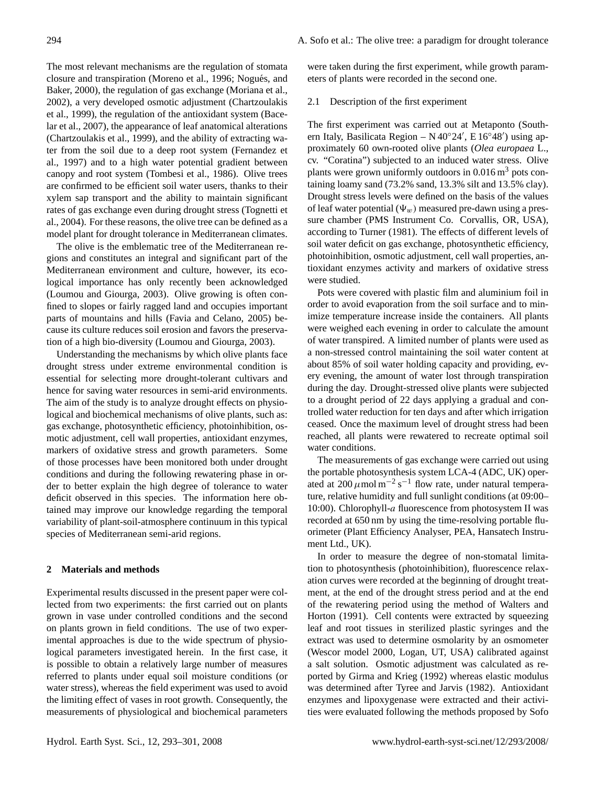The most relevant mechanisms are the regulation of stomata closure and transpiration (Moreno et al., 1996; Nogués, and Baker, 2000), the regulation of gas exchange (Moriana et al., 2002), a very developed osmotic adjustment (Chartzoulakis et al., 1999), the regulation of the antioxidant system (Bacelar et al., 2007), the appearance of leaf anatomical alterations (Chartzoulakis et al., 1999), and the ability of extracting water from the soil due to a deep root system (Fernandez et al., 1997) and to a high water potential gradient between canopy and root system (Tombesi et al., 1986). Olive trees are confirmed to be efficient soil water users, thanks to their xylem sap transport and the ability to maintain significant rates of gas exchange even during drought stress (Tognetti et al., 2004). For these reasons, the olive tree can be defined as a model plant for drought tolerance in Mediterranean climates.

The olive is the emblematic tree of the Mediterranean regions and constitutes an integral and significant part of the Mediterranean environment and culture, however, its ecological importance has only recently been acknowledged (Loumou and Giourga, 2003). Olive growing is often confined to slopes or fairly ragged land and occupies important parts of mountains and hills (Favia and Celano, 2005) because its culture reduces soil erosion and favors the preservation of a high bio-diversity (Loumou and Giourga, 2003).

Understanding the mechanisms by which olive plants face drought stress under extreme environmental condition is essential for selecting more drought-tolerant cultivars and hence for saving water resources in semi-arid environments. The aim of the study is to analyze drought effects on physiological and biochemical mechanisms of olive plants, such as: gas exchange, photosynthetic efficiency, photoinhibition, osmotic adjustment, cell wall properties, antioxidant enzymes, markers of oxidative stress and growth parameters. Some of those processes have been monitored both under drought conditions and during the following rewatering phase in order to better explain the high degree of tolerance to water deficit observed in this species. The information here obtained may improve our knowledge regarding the temporal variability of plant-soil-atmosphere continuum in this typical species of Mediterranean semi-arid regions.

# **2 Materials and methods**

Experimental results discussed in the present paper were collected from two experiments: the first carried out on plants grown in vase under controlled conditions and the second on plants grown in field conditions. The use of two experimental approaches is due to the wide spectrum of physiological parameters investigated herein. In the first case, it is possible to obtain a relatively large number of measures referred to plants under equal soil moisture conditions (or water stress), whereas the field experiment was used to avoid the limiting effect of vases in root growth. Consequently, the measurements of physiological and biochemical parameters

were taken during the first experiment, while growth parameters of plants were recorded in the second one.

## 2.1 Description of the first experiment

The first experiment was carried out at Metaponto (Southern Italy, Basilicata Region - N 40°24', E 16°48') using approximately 60 own-rooted olive plants (*Olea europaea* L., cv. "Coratina") subjected to an induced water stress. Olive plants were grown uniformly outdoors in  $0.016 \text{ m}^3$  pots containing loamy sand (73.2% sand, 13.3% silt and 13.5% clay). Drought stress levels were defined on the basis of the values of leaf water potential  $(\Psi_w)$  measured pre-dawn using a pressure chamber (PMS Instrument Co. Corvallis, OR, USA), according to Turner (1981). The effects of different levels of soil water deficit on gas exchange, photosynthetic efficiency, photoinhibition, osmotic adjustment, cell wall properties, antioxidant enzymes activity and markers of oxidative stress were studied.

Pots were covered with plastic film and aluminium foil in order to avoid evaporation from the soil surface and to minimize temperature increase inside the containers. All plants were weighed each evening in order to calculate the amount of water transpired. A limited number of plants were used as a non-stressed control maintaining the soil water content at about 85% of soil water holding capacity and providing, every evening, the amount of water lost through transpiration during the day. Drought-stressed olive plants were subjected to a drought period of 22 days applying a gradual and controlled water reduction for ten days and after which irrigation ceased. Once the maximum level of drought stress had been reached, all plants were rewatered to recreate optimal soil water conditions.

The measurements of gas exchange were carried out using the portable photosynthesis system LCA-4 (ADC, UK) operated at 200  $\mu$ mol m<sup>-2</sup> s<sup>-1</sup> flow rate, under natural temperature, relative humidity and full sunlight conditions (at 09:00– 10:00). Chlorophyll-a fluorescence from photosystem II was recorded at 650 nm by using the time-resolving portable fluorimeter (Plant Efficiency Analyser, PEA, Hansatech Instrument Ltd., UK).

In order to measure the degree of non-stomatal limitation to photosynthesis (photoinhibition), fluorescence relaxation curves were recorded at the beginning of drought treatment, at the end of the drought stress period and at the end of the rewatering period using the method of Walters and Horton (1991). Cell contents were extracted by squeezing leaf and root tissues in sterilized plastic syringes and the extract was used to determine osmolarity by an osmometer (Wescor model 2000, Logan, UT, USA) calibrated against a salt solution. Osmotic adjustment was calculated as reported by Girma and Krieg (1992) whereas elastic modulus was determined after Tyree and Jarvis (1982). Antioxidant enzymes and lipoxygenase were extracted and their activities were evaluated following the methods proposed by Sofo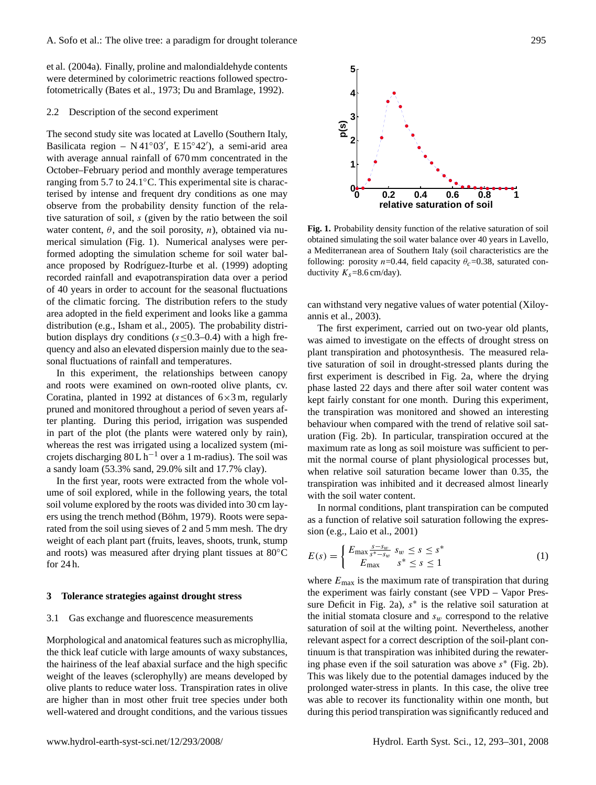et al. (2004a). Finally, proline and malondialdehyde contents were determined by colorimetric reactions followed spectrofotometrically (Bates et al., 1973; Du and Bramlage, 1992).

# 2.2 Description of the second experiment

The second study site was located at Lavello (Southern Italy, Basilicata region - N 41°03', E 15°42'), a semi-arid area with average annual rainfall of 670 mm concentrated in the October–February period and monthly average temperatures ranging from 5.7 to 24.1◦C. This experimental site is characterised by intense and frequent dry conditions as one may observe from the probability density function of the relative saturation of soil, s (given by the ratio between the soil water content,  $\theta$ , and the soil porosity, n), obtained via numerical simulation (Fig. 1). Numerical analyses were performed adopting the simulation scheme for soil water balance proposed by Rodríguez-Iturbe et al. (1999) adopting recorded rainfall and evapotranspiration data over a period of 40 years in order to account for the seasonal fluctuations of the climatic forcing. The distribution refers to the study area adopted in the field experiment and looks like a gamma distribution (e.g., Isham et al., 2005). The probability distribution displays dry conditions ( $s \leq 0.3-0.4$ ) with a high frequency and also an elevated dispersion mainly due to the seasonal fluctuations of rainfall and temperatures.

In this experiment, the relationships between canopy and roots were examined on own-rooted olive plants, cv. Coratina, planted in 1992 at distances of  $6\times3$  m, regularly pruned and monitored throughout a period of seven years after planting. During this period, irrigation was suspended in part of the plot (the plants were watered only by rain), whereas the rest was irrigated using a localized system (microjets discharging  $80 L h^{-1}$  over a 1 m-radius). The soil was a sandy loam (53.3% sand, 29.0% silt and 17.7% clay).

In the first year, roots were extracted from the whole volume of soil explored, while in the following years, the total soil volume explored by the roots was divided into 30 cm layers using the trench method (Böhm, 1979). Roots were separated from the soil using sieves of 2 and 5 mm mesh. The dry weight of each plant part (fruits, leaves, shoots, trunk, stump and roots) was measured after drying plant tissues at 80◦C for 24 h.

### **3 Tolerance strategies against drought stress**

#### 3.1 Gas exchange and fluorescence measurements

Morphological and anatomical features such as microphyllia, the thick leaf cuticle with large amounts of waxy substances, the hairiness of the leaf abaxial surface and the high specific weight of the leaves (sclerophylly) are means developed by olive plants to reduce water loss. Transpiration rates in olive are higher than in most other fruit tree species under both well-watered and drought conditions, and the various tissues



**Fig. 1.** Probability density function of the relative saturation of soil obtained simulating the soil water balance over 40 years in Lavello, a Mediterranean area of Southern Italy (soil characteristics are the following: porosity  $n=0.44$ , field capacity  $\theta_c=0.38$ , saturated conductivity  $K_s = 8.6$  cm/day).

can withstand very negative values of water potential (Xiloyannis et al., 2003).

The first experiment, carried out on two-year old plants, was aimed to investigate on the effects of drought stress on plant transpiration and photosynthesis. The measured relative saturation of soil in drought-stressed plants during the first experiment is described in Fig. 2a, where the drying phase lasted 22 days and there after soil water content was kept fairly constant for one month. During this experiment, the transpiration was monitored and showed an interesting behaviour when compared with the trend of relative soil saturation (Fig. 2b). In particular, transpiration occured at the maximum rate as long as soil moisture was sufficient to permit the normal course of plant physiological processes but, when relative soil saturation became lower than 0.35, the transpiration was inhibited and it decreased almost linearly with the soil water content.

In normal conditions, plant transpiration can be computed as a function of relative soil saturation following the expression (e.g., Laio et al., 2001)

$$
E(s) = \begin{cases} E_{\max\frac{s-s_w}{s^*-s_w}} & s_w \le s \le s^*\\ E_{\max} & s^* \le s \le 1 \end{cases} \tag{1}
$$

where  $E_{\text{max}}$  is the maximum rate of transpiration that during the experiment was fairly constant (see VPD – Vapor Pressure Deficit in Fig. 2a),  $s^*$  is the relative soil saturation at the initial stomata closure and  $s_w$  correspond to the relative saturation of soil at the wilting point. Nevertheless, another relevant aspect for a correct description of the soil-plant continuum is that transpiration was inhibited during the rewatering phase even if the soil saturation was above  $s^*$  (Fig. 2b). This was likely due to the potential damages induced by the prolonged water-stress in plants. In this case, the olive tree was able to recover its functionality within one month, but during this period transpiration was significantly reduced and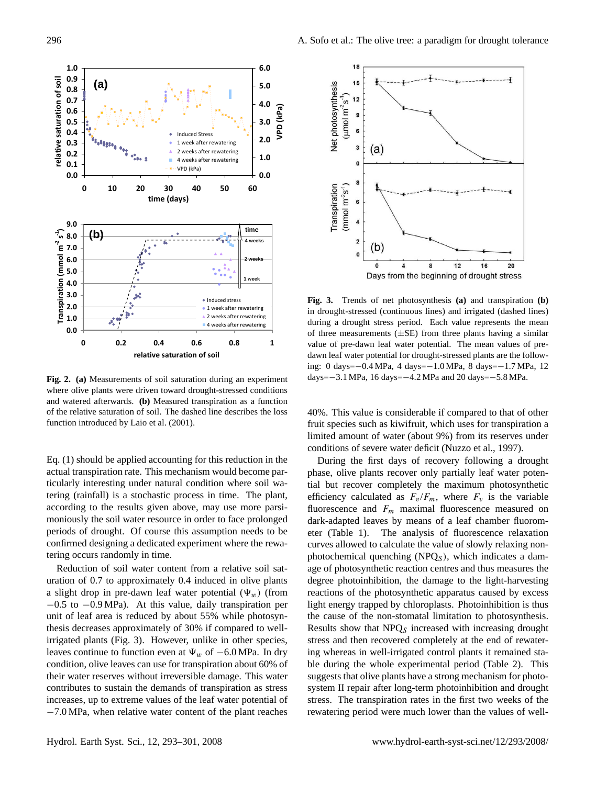

**Fig. 2. (a)** Measurements of soil saturation during an experiment where olive plants were driven toward drought-stressed conditions and watered afterwards. **(b)** Measured transpiration as a function of the relative saturation of soil. The dashed line describes the loss function introduced by Laio et al. (2001).

Eq. (1) should be applied accounting for this reduction in the actual transpiration rate. This mechanism would become particularly interesting under natural condition where soil watering (rainfall) is a stochastic process in time. The plant, according to the results given above, may use more parsimoniously the soil water resource in order to face prolonged periods of drought. Of course this assumption needs to be confirmed designing a dedicated experiment where the rewatering occurs randomly in time.

Reduction of soil water content from a relative soil saturation of 0.7 to approximately 0.4 induced in olive plants a slight drop in pre-dawn leaf water potential  $(\Psi_w)$  (from −0.5 to −0.9 MPa). At this value, daily transpiration per unit of leaf area is reduced by about 55% while photosynthesis decreases approximately of 30% if compared to wellirrigated plants (Fig. 3). However, unlike in other species, leaves continue to function even at  $\Psi_w$  of −6.0 MPa. In dry condition, olive leaves can use for transpiration about 60% of their water reserves without irreversible damage. This water contributes to sustain the demands of transpiration as stress increases, up to extreme values of the leaf water potential of −7.0 MPa, when relative water content of the plant reaches



**Fig. 3.** Trends of net photosynthesis **(a)** and transpiration **(b)** in drought-stressed (continuous lines) and irrigated (dashed lines) during a drought stress period. Each value represents the mean of three measurements  $(\pm SE)$  from three plants having a similar value of pre-dawn leaf water potential. The mean values of predawn leaf water potential for drought-stressed plants are the following: 0 days=−0.4 MPa, 4 days=−1.0 MPa, 8 days=−1.7 MPa, 12 days=−3.1 MPa, 16 days=−4.2 MPa and 20 days=−5.8 MPa.

40%. This value is considerable if compared to that of other fruit species such as kiwifruit, which uses for transpiration a limited amount of water (about 9%) from its reserves under conditions of severe water deficit (Nuzzo et al., 1997).

During the first days of recovery following a drought phase, olive plants recover only partially leaf water potential but recover completely the maximum photosynthetic efficiency calculated as  $F_v/F_m$ , where  $F_v$  is the variable fluorescence and  $F_m$  maximal fluorescence measured on dark-adapted leaves by means of a leaf chamber fluorometer (Table 1). The analysis of fluorescence relaxation curves allowed to calculate the value of slowly relaxing nonphotochemical quenching  $(NPQ<sub>S</sub>)$ , which indicates a damage of photosynthetic reaction centres and thus measures the degree photoinhibition, the damage to the light-harvesting reactions of the photosynthetic apparatus caused by excess light energy trapped by chloroplasts. Photoinhibition is thus the cause of the non-stomatal limitation to photosynthesis. Results show that  $NPQ<sub>S</sub>$  increased with increasing drought stress and then recovered completely at the end of rewatering whereas in well-irrigated control plants it remained stable during the whole experimental period (Table 2). This suggests that olive plants have a strong mechanism for photosystem II repair after long-term photoinhibition and drought stress. The transpiration rates in the first two weeks of the rewatering period were much lower than the values of well-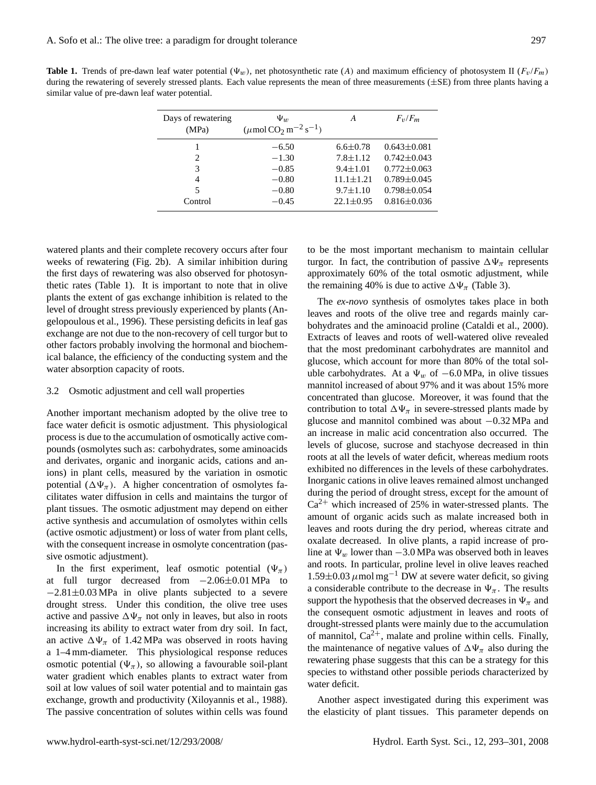**Table 1.** Trends of pre-dawn leaf water potential  $(\Psi_w)$ , net photosynthetic rate (A) and maximum efficiency of photosystem II ( $F_v/F_m$ ) during the rewatering of severely stressed plants. Each value represents the mean of three measurements (±SE) from three plants having a similar value of pre-dawn leaf water potential.

| Days of rewatering | $\Psi_w$                                                     | A               | $F_v/F_m$         |
|--------------------|--------------------------------------------------------------|-----------------|-------------------|
| (MPa)              | $(\mu$ mol CO <sub>2</sub> m <sup>-2</sup> s <sup>-1</sup> ) |                 |                   |
|                    | $-6.50$                                                      | $6.6 \pm 0.78$  | $0.643 \pm 0.081$ |
| 2                  | $-1.30$                                                      | $7.8 \pm 1.12$  | $0.742 \pm 0.043$ |
| 3                  | $-0.85$                                                      | $9.4 \pm 1.01$  | $0.772 \pm 0.063$ |
| 4                  | $-0.80$                                                      | $11.1 + 1.21$   | $0.789 \pm 0.045$ |
| 5                  | $-0.80$                                                      | $9.7 \pm 1.10$  | $0.798 \pm 0.054$ |
| Control            | $-0.45$                                                      | $22.1 \pm 0.95$ | $0.816 \pm 0.036$ |

watered plants and their complete recovery occurs after four weeks of rewatering (Fig. 2b). A similar inhibition during the first days of rewatering was also observed for photosynthetic rates (Table 1). It is important to note that in olive plants the extent of gas exchange inhibition is related to the level of drought stress previously experienced by plants (Angelopoulous et al., 1996). These persisting deficits in leaf gas exchange are not due to the non-recovery of cell turgor but to other factors probably involving the hormonal and biochemical balance, the efficiency of the conducting system and the water absorption capacity of roots.

#### 3.2 Osmotic adjustment and cell wall properties

Another important mechanism adopted by the olive tree to face water deficit is osmotic adjustment. This physiological process is due to the accumulation of osmotically active compounds (osmolytes such as: carbohydrates, some aminoacids and derivates, organic and inorganic acids, cations and anions) in plant cells, measured by the variation in osmotic potential  $(\Delta \Psi_{\pi})$ . A higher concentration of osmolytes facilitates water diffusion in cells and maintains the turgor of plant tissues. The osmotic adjustment may depend on either active synthesis and accumulation of osmolytes within cells (active osmotic adjustment) or loss of water from plant cells, with the consequent increase in osmolyte concentration (passive osmotic adjustment).

In the first experiment, leaf osmotic potential  $(\Psi_{\pi})$ at full turgor decreased from −2.06±0.01 MPa to −2.81±0.03 MPa in olive plants subjected to a severe drought stress. Under this condition, the olive tree uses active and passive  $\Delta \Psi_{\pi}$  not only in leaves, but also in roots increasing its ability to extract water from dry soil. In fact, an active  $\Delta \Psi_{\pi}$  of 1.42 MPa was observed in roots having a 1–4 mm-diameter. This physiological response reduces osmotic potential  $(\Psi_{\pi})$ , so allowing a favourable soil-plant water gradient which enables plants to extract water from soil at low values of soil water potential and to maintain gas exchange, growth and productivity (Xiloyannis et al., 1988). The passive concentration of solutes within cells was found to be the most important mechanism to maintain cellular turgor. In fact, the contribution of passive  $\Delta \Psi_{\pi}$  represents approximately 60% of the total osmotic adjustment, while the remaining 40% is due to active  $\Delta \Psi_{\pi}$  (Table 3).

The *ex-novo* synthesis of osmolytes takes place in both leaves and roots of the olive tree and regards mainly carbohydrates and the aminoacid proline (Cataldi et al., 2000). Extracts of leaves and roots of well-watered olive revealed that the most predominant carbohydrates are mannitol and glucose, which account for more than 80% of the total soluble carbohydrates. At a  $\Psi_w$  of  $-6.0$  MPa, in olive tissues mannitol increased of about 97% and it was about 15% more concentrated than glucose. Moreover, it was found that the contribution to total  $\Delta \Psi_{\pi}$  in severe-stressed plants made by glucose and mannitol combined was about −0.32 MPa and an increase in malic acid concentration also occurred. The levels of glucose, sucrose and stachyose decreased in thin roots at all the levels of water deficit, whereas medium roots exhibited no differences in the levels of these carbohydrates. Inorganic cations in olive leaves remained almost unchanged during the period of drought stress, except for the amount of  $Ca^{2+}$  which increased of 25% in water-stressed plants. The amount of organic acids such as malate increased both in leaves and roots during the dry period, whereas citrate and oxalate decreased. In olive plants, a rapid increase of proline at  $\Psi_w$  lower than  $-3.0$  MPa was observed both in leaves and roots. In particular, proline level in olive leaves reached 1.59±0.03  $\mu$ mol mg<sup>-1</sup> DW at severe water deficit, so giving a considerable contribute to the decrease in  $\Psi_{\pi}$ . The results support the hypothesis that the observed decreases in  $\Psi_{\pi}$  and the consequent osmotic adjustment in leaves and roots of drought-stressed plants were mainly due to the accumulation of mannitol,  $Ca^{2+}$ , malate and proline within cells. Finally, the maintenance of negative values of  $\Delta \Psi_{\pi}$  also during the rewatering phase suggests that this can be a strategy for this species to withstand other possible periods characterized by water deficit.

Another aspect investigated during this experiment was the elasticity of plant tissues. This parameter depends on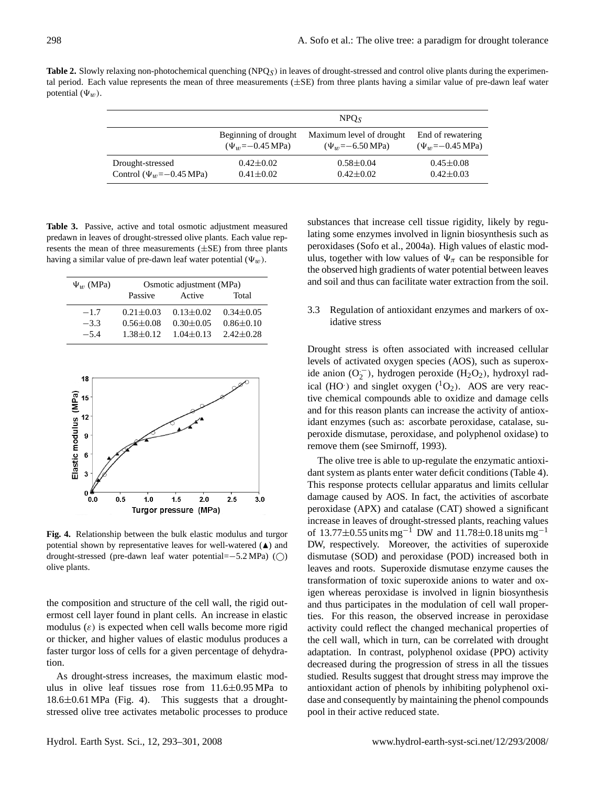**Table 2.** Slowly relaxing non-photochemical quenching (NPQ<sub>S</sub>) in leaves of drought-stressed and control olive plants during the experimental period. Each value represents the mean of three measurements (±SE) from three plants having a similar value of pre-dawn leaf water potential  $(\Psi_w)$ .

|                                          | $NPO_S$                          |                                  |                                  |  |
|------------------------------------------|----------------------------------|----------------------------------|----------------------------------|--|
|                                          | Beginning of drought             | Maximum level of drought         | End of rewatering                |  |
|                                          | $(\Psi_{w} = -0.45 \text{ MPa})$ | $(\Psi_{w} = -6.50 \text{ MPa})$ | $(\Psi_{w} = -0.45 \text{ MPa})$ |  |
| Drought-stressed                         | $0.42 \pm 0.02$                  | $0.58 \pm 0.04$                  | $0.45 \pm 0.08$                  |  |
| Control ( $\Psi_w = -0.45 \text{ MPa}$ ) | $0.41 \pm 0.02$                  | $0.42 \pm 0.02$                  | $0.42 \pm 0.03$                  |  |

**Table 3.** Passive, active and total osmotic adjustment measured predawn in leaves of drought-stressed olive plants. Each value represents the mean of three measurements  $(\pm SE)$  from three plants having a similar value of pre-dawn leaf water potential  $(\Psi_w)$ .

| $\Psi_{\nu}$ (MPa) | Osmotic adjustment (MPa) |                 |                 |  |  |
|--------------------|--------------------------|-----------------|-----------------|--|--|
|                    | Passive                  | Active          | Total           |  |  |
| $-1.7$             | $0.21 \pm 0.03$          | $0.13 \pm 0.02$ | $0.34 \pm 0.05$ |  |  |
| $-3.3$             | $0.56 \pm 0.08$          | $0.30 \pm 0.05$ | $0.86 \pm 0.10$ |  |  |
| $-5.4$             | $1.38 \pm 0.12$          | $1.04 \pm 0.13$ | $2.42 \pm 0.28$ |  |  |



**Fig. 4.** Relationship between the bulk elastic modulus and turgor potential shown by representative leaves for well-watered  $(\triangle)$  and drought-stressed (pre-dawn leaf water potential=−5.2 MPa) ( ) olive plants.

the composition and structure of the cell wall, the rigid outermost cell layer found in plant cells. An increase in elastic modulus  $(\varepsilon)$  is expected when cell walls become more rigid or thicker, and higher values of elastic modulus produces a faster turgor loss of cells for a given percentage of dehydration.

As drought-stress increases, the maximum elastic modulus in olive leaf tissues rose from 11.6±0.95 MPa to  $18.6\pm0.61$  MPa (Fig. 4). This suggests that a droughtstressed olive tree activates metabolic processes to produce

substances that increase cell tissue rigidity, likely by regulating some enzymes involved in lignin biosynthesis such as peroxidases (Sofo et al., 2004a). High values of elastic modulus, together with low values of  $\Psi_\pi$  can be responsible for the observed high gradients of water potential between leaves and soil and thus can facilitate water extraction from the soil.

3.3 Regulation of antioxidant enzymes and markers of oxidative stress

Drought stress is often associated with increased cellular levels of activated oxygen species (AOS), such as superoxide anion (O<sub>2</sub><sup>-</sup>), hydrogen peroxide (H<sub>2</sub>O<sub>2</sub>), hydroxyl radical (HO:) and singlet oxygen  $(^1O_2)$ . AOS are very reactive chemical compounds able to oxidize and damage cells and for this reason plants can increase the activity of antioxidant enzymes (such as: ascorbate peroxidase, catalase, superoxide dismutase, peroxidase, and polyphenol oxidase) to remove them (see Smirnoff, 1993).

The olive tree is able to up-regulate the enzymatic antioxidant system as plants enter water deficit conditions (Table 4). This response protects cellular apparatus and limits cellular damage caused by AOS. In fact, the activities of ascorbate peroxidase (APX) and catalase (CAT) showed a significant increase in leaves of drought-stressed plants, reaching values of 13.77 $\pm$ 0.55 units mg<sup>-1</sup> DW and 11.78 $\pm$ 0.18 units mg<sup>-1</sup> DW, respectively. Moreover, the activities of superoxide dismutase (SOD) and peroxidase (POD) increased both in leaves and roots. Superoxide dismutase enzyme causes the transformation of toxic superoxide anions to water and oxigen whereas peroxidase is involved in lignin biosynthesis and thus participates in the modulation of cell wall properties. For this reason, the observed increase in peroxidase activity could reflect the changed mechanical properties of the cell wall, which in turn, can be correlated with drought adaptation. In contrast, polyphenol oxidase (PPO) activity decreased during the progression of stress in all the tissues studied. Results suggest that drought stress may improve the antioxidant action of phenols by inhibiting polyphenol oxidase and consequently by maintaining the phenol compounds pool in their active reduced state.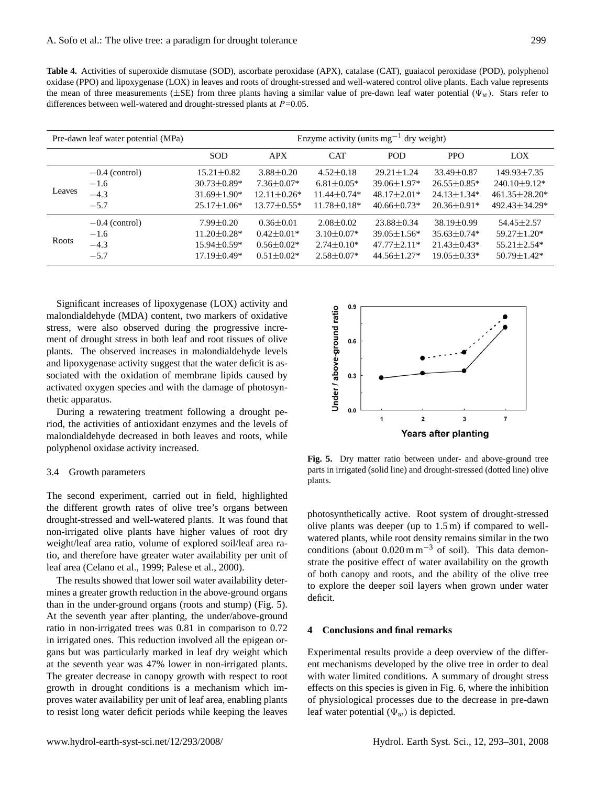**Table 4.** Activities of superoxide dismutase (SOD), ascorbate peroxidase (APX), catalase (CAT), guaiacol peroxidase (POD), polyphenol oxidase (PPO) and lipoxygenase (LOX) in leaves and roots of drought-stressed and well-watered control olive plants. Each value represents the mean of three measurements ( $\pm$ SE) from three plants having a similar value of pre-dawn leaf water potential ( $\Psi_w$ ). Stars refer to differences between well-watered and drought-stressed plants at  $P=0.05$ .

| Pre-dawn leaf water potential (MPa) |                  | Enzyme activity (units $mg^{-1}$ dry weight) |                    |                   |                    |                   |                     |
|-------------------------------------|------------------|----------------------------------------------|--------------------|-------------------|--------------------|-------------------|---------------------|
|                                     |                  | <b>SOD</b>                                   | <b>APX</b>         | <b>CAT</b>        | <b>POD</b>         | <b>PPO</b>        | LOX                 |
| Leaves                              | $-0.4$ (control) | $15.21 \pm 0.82$                             | $3.88 \pm 0.20$    | $4.52 \pm 0.18$   | $29.21 \pm 1.24$   | $33.49 \pm 0.87$  | $149.93 \pm 7.35$   |
|                                     | $-1.6$           | $30.73 \pm 0.89*$                            | $7.36 \pm 0.07*$   | $6.81 \pm 0.05*$  | $39.06 \pm 1.97*$  | $26.55 \pm 0.85*$ | $240.10\pm9.12*$    |
|                                     | $-4.3$           | $31.69 \pm 1.90*$                            | $12.11 \pm 0.26^*$ | $11.44 \pm 0.74*$ | $48.17 \pm 2.01*$  | $24.13 \pm 1.34*$ | $461.35 \pm 28.20*$ |
|                                     | $-5.7$           | $25.17 \pm 1.06*$                            | $13.77 \pm 0.55*$  | $11.78 \pm 0.18*$ | $40.66 \pm 0.73*$  | $20.36 \pm 0.91*$ | $492.43 \pm 34.29*$ |
| Roots                               | $-0.4$ (control) | $7.99 \pm 0.20$                              | $0.36 \pm 0.01$    | $2.08 \pm 0.02$   | $23.88 \pm 0.34$   | $38.19 \pm 0.99$  | $54.45 \pm 2.57$    |
|                                     | $-1.6$           | $11.20 \pm 0.28*$                            | $0.42 \pm 0.01*$   | $3.10 \pm 0.07*$  | $39.05 \pm 1.56*$  | $35.63 \pm 0.74*$ | $59.27 \pm 1.20*$   |
|                                     | $-4.3$           | $15.94 \pm 0.59*$                            | $0.56 \pm 0.02*$   | $2.74 \pm 0.10*$  | $47.77 \pm 2.11*$  | $21.43 \pm 0.43*$ | $55.21 \pm 2.54*$   |
|                                     | $-5.7$           | 17.19±0.49*                                  | $0.51 \pm 0.02*$   | $2.58 \pm 0.07*$  | $44.56 \pm 1.27$ * | $19.05 \pm 0.33*$ | $50.79 \pm 1.42*$   |

Significant increases of lipoxygenase (LOX) activity and malondialdehyde (MDA) content, two markers of oxidative stress, were also observed during the progressive increment of drought stress in both leaf and root tissues of olive plants. The observed increases in malondialdehyde levels and lipoxygenase activity suggest that the water deficit is associated with the oxidation of membrane lipids caused by activated oxygen species and with the damage of photosynthetic apparatus.

During a rewatering treatment following a drought period, the activities of antioxidant enzymes and the levels of malondialdehyde decreased in both leaves and roots, while polyphenol oxidase activity increased.

## 3.4 Growth parameters

The second experiment, carried out in field, highlighted the different growth rates of olive tree's organs between drought-stressed and well-watered plants. It was found that non-irrigated olive plants have higher values of root dry weight/leaf area ratio, volume of explored soil/leaf area ratio, and therefore have greater water availability per unit of leaf area (Celano et al., 1999; Palese et al., 2000).

The results showed that lower soil water availability determines a greater growth reduction in the above-ground organs than in the under-ground organs (roots and stump) (Fig. 5). At the seventh year after planting, the under/above-ground ratio in non-irrigated trees was 0.81 in comparison to 0.72 in irrigated ones. This reduction involved all the epigean organs but was particularly marked in leaf dry weight which at the seventh year was 47% lower in non-irrigated plants. The greater decrease in canopy growth with respect to root growth in drought conditions is a mechanism which improves water availability per unit of leaf area, enabling plants to resist long water deficit periods while keeping the leaves



**Fig. 5.** Dry matter ratio between under- and above-ground tree parts in irrigated (solid line) and drought-stressed (dotted line) olive plants.

photosynthetically active. Root system of drought-stressed olive plants was deeper (up to 1.5 m) if compared to wellwatered plants, while root density remains similar in the two conditions (about  $0.020 \text{ m m}^{-3}$  of soil). This data demonstrate the positive effect of water availability on the growth of both canopy and roots, and the ability of the olive tree to explore the deeper soil layers when grown under water deficit.

## **4 Conclusions and final remarks**

Experimental results provide a deep overview of the different mechanisms developed by the olive tree in order to deal with water limited conditions. A summary of drought stress effects on this species is given in Fig. 6, where the inhibition of physiological processes due to the decrease in pre-dawn leaf water potential  $(\Psi_w)$  is depicted.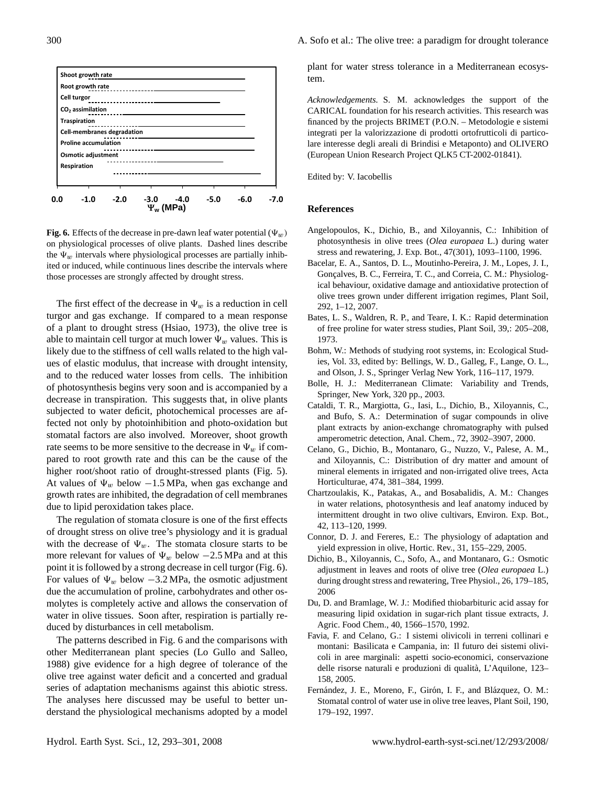

**Fig. 6.** Effects of the decrease in pre-dawn leaf water potential  $(\Psi_w)$ on physiological processes of olive plants. Dashed lines describe the  $\Psi_w$  intervals where physiological processes are partially inhibited or induced, while continuous lines describe the intervals where those processes are strongly affected by drought stress.

The first effect of the decrease in  $\Psi_w$  is a reduction in cell turgor and gas exchange. If compared to a mean response of a plant to drought stress (Hsiao, 1973), the olive tree is able to maintain cell turgor at much lower  $\Psi_w$  values. This is likely due to the stiffness of cell walls related to the high values of elastic modulus, that increase with drought intensity, and to the reduced water losses from cells. The inhibition of photosynthesis begins very soon and is accompanied by a decrease in transpiration. This suggests that, in olive plants subjected to water deficit, photochemical processes are affected not only by photoinhibition and photo-oxidation but stomatal factors are also involved. Moreover, shoot growth rate seems to be more sensitive to the decrease in  $\Psi_w$  if compared to root growth rate and this can be the cause of the higher root/shoot ratio of drought-stressed plants (Fig. 5). At values of  $\Psi_w$  below −1.5 MPa, when gas exchange and growth rates are inhibited, the degradation of cell membranes due to lipid peroxidation takes place.

The regulation of stomata closure is one of the first effects of drought stress on olive tree's physiology and it is gradual with the decrease of  $\Psi_w$ . The stomata closure starts to be more relevant for values of  $\Psi_w$  below  $-2.5$  MPa and at this point it is followed by a strong decrease in cell turgor (Fig. 6). For values of  $\Psi_w$  below −3.2 MPa, the osmotic adjustment due the accumulation of proline, carbohydrates and other osmolytes is completely active and allows the conservation of water in olive tissues. Soon after, respiration is partially reduced by disturbances in cell metabolism.

The patterns described in Fig. 6 and the comparisons with other Mediterranean plant species (Lo Gullo and Salleo, 1988) give evidence for a high degree of tolerance of the olive tree against water deficit and a concerted and gradual series of adaptation mechanisms against this abiotic stress. The analyses here discussed may be useful to better understand the physiological mechanisms adopted by a model plant for water stress tolerance in a Mediterranean ecosystem.

*Acknowledgements.* S. M. acknowledges the support of the CARICAL foundation for his research activities. This research was financed by the projects BRIMET (P.O.N. – Metodologie e sistemi integrati per la valorizzazione di prodotti ortofrutticoli di particolare interesse degli areali di Brindisi e Metaponto) and OLIVERO (European Union Research Project QLK5 CT-2002-01841).

Edited by: V. Iacobellis

## **References**

- Angelopoulos, K., Dichio, B., and Xiloyannis, C.: Inhibition of photosynthesis in olive trees (*Olea europaea* L.) during water stress and rewatering, J. Exp. Bot., 47(301), 1093–1100, 1996.
- Bacelar, E. A., Santos, D. L., Moutinho-Pereira, J. M., Lopes, J. I., Gonçalves, B. C., Ferreira, T. C., and Correia, C. M.: Physiological behaviour, oxidative damage and antioxidative protection of olive trees grown under different irrigation regimes, Plant Soil, 292, 1–12, 2007.
- Bates, L. S., Waldren, R. P., and Teare, I. K.: Rapid determination of free proline for water stress studies, Plant Soil, 39,: 205–208, 1973.
- Bohm, W.: Methods of studying root systems, in: Ecological Studies, Vol. 33, edited by: Bellings, W. D., Galleg, F., Lange, O. L., and Olson, J. S., Springer Verlag New York, 116–117, 1979.
- Bolle, H. J.: Mediterranean Climate: Variability and Trends, Springer, New York, 320 pp., 2003.
- Cataldi, T. R., Margiotta, G., Iasi, L., Dichio, B., Xiloyannis, C., and Bufo, S. A.: Determination of sugar compounds in olive plant extracts by anion-exchange chromatography with pulsed amperometric detection, Anal. Chem., 72, 3902–3907, 2000.
- Celano, G., Dichio, B., Montanaro, G., Nuzzo, V., Palese, A. M., and Xiloyannis, C.: Distribution of dry matter and amount of mineral elements in irrigated and non-irrigated olive trees, Acta Horticulturae, 474, 381–384, 1999.
- Chartzoulakis, K., Patakas, A., and Bosabalidis, A. M.: Changes in water relations, photosynthesis and leaf anatomy induced by intermittent drought in two olive cultivars, Environ. Exp. Bot., 42, 113–120, 1999.
- Connor, D. J. and Fereres, E.: The physiology of adaptation and yield expression in olive, Hortic. Rev., 31, 155–229, 2005.
- Dichio, B., Xiloyannis, C., Sofo, A., and Montanaro, G.: Osmotic adjustment in leaves and roots of olive tree (*Olea europaea* L.) during drought stress and rewatering, Tree Physiol., 26, 179–185, 2006
- Du, D. and Bramlage, W. J.: Modified thiobarbituric acid assay for measuring lipid oxidation in sugar-rich plant tissue extracts, J. Agric. Food Chem., 40, 1566–1570, 1992.
- Favia, F. and Celano, G.: I sistemi olivicoli in terreni collinari e montani: Basilicata e Campania, in: Il futuro dei sistemi olivicoli in aree marginali: aspetti socio-economici, conservazione delle risorse naturali e produzioni di qualita, L'Aquilone, 123– ` 158, 2005.
- Fernández, J. E., Moreno, F., Girón, I. F., and Blázquez, O. M.: Stomatal control of water use in olive tree leaves, Plant Soil, 190, 179–192, 1997.